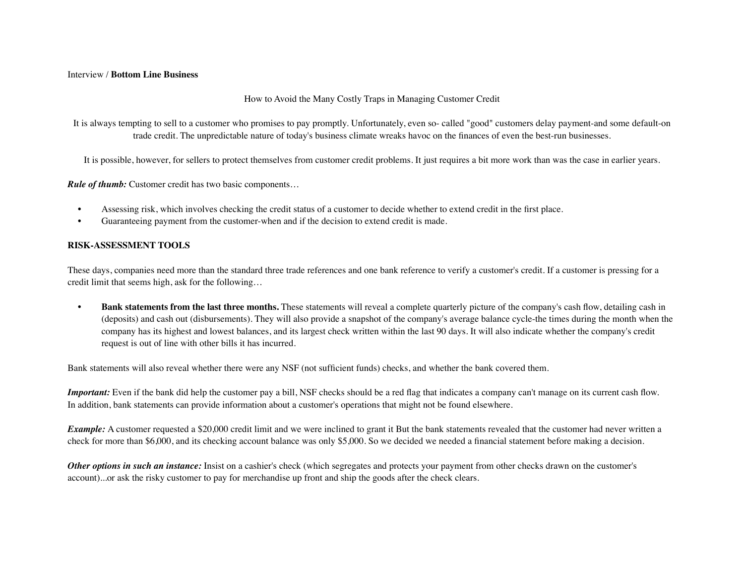## Interview / **Bottom Line Business**

How to Avoid the Many Costly Traps in Managing Customer Credit

It is always tempting to sell to a customer who promises to pay promptly. Unfortunately, even so- called "good" customers delay payment-and some default-on trade credit. The unpredictable nature of today's business climate wreaks havoc on the finances of even the best-run businesses.

It is possible, however, for sellers to protect themselves from customer credit problems. It just requires a bit more work than was the case in earlier years.

*Rule of thumb:* Customer credit has two basic components…

- Assessing risk, which involves checking the credit status of a customer to decide whether to extend credit in the first place.
- Guaranteeing payment from the customer-when and if the decision to extend credit is made.

## **RISK-ASSESSMENT TOOLS**

These days, companies need more than the standard three trade references and one bank reference to verify a customer's credit. If a customer is pressing for a credit limit that seems high, ask for the following…

**• Bank statements from the last three months.** These statements will reveal a complete quarterly picture of the company's cash flow, detailing cash in (deposits) and cash out (disbursements). They will also provide a snapshot of the company's average balance cycle-the times during the month when the company has its highest and lowest balances, and its largest check written within the last 90 days. It will also indicate whether the company's credit request is out of line with other bills it has incurred.

Bank statements will also reveal whether there were any NSF (not sufficient funds) checks, and whether the bank covered them.

*Important:* Even if the bank did help the customer pay a bill, NSF checks should be a red flag that indicates a company can't manage on its current cash flow. In addition, bank statements can provide information about a customer's operations that might not be found elsewhere.

*Example:* A customer requested a \$20,000 credit limit and we were inclined to grant it But the bank statements revealed that the customer had never written a check for more than \$6,000, and its checking account balance was only \$5,000. So we decided we needed a financial statement before making a decision.

*Other options in such an instance:* Insist on a cashier's check (which segregates and protects your payment from other checks drawn on the customer's account)...or ask the risky customer to pay for merchandise up front and ship the goods after the check clears.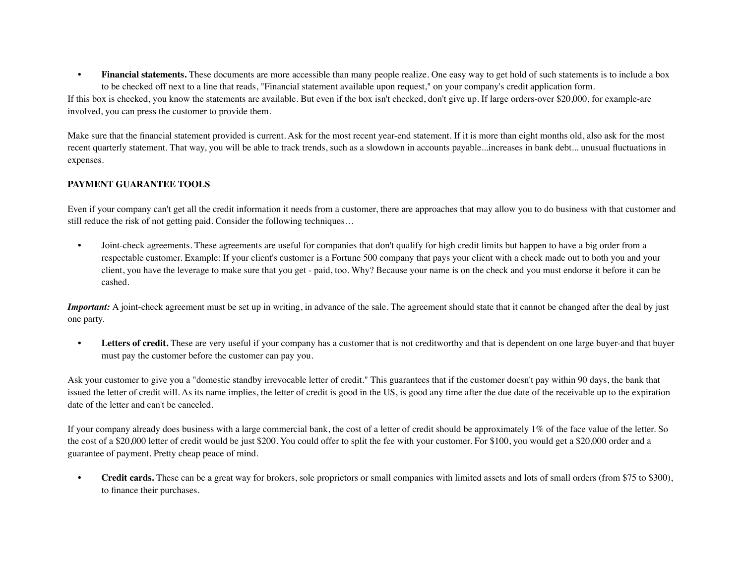• Financial statements. These documents are more accessible than many people realize. One easy way to get hold of such statements is to include a box to be checked off next to a line that reads, "Financial statement available upon request," on your company's credit application form.

If this box is checked, you know the statements are available. But even if the box isn't checked, don't give up. If large orders-over \$20,000, for example-are involved, you can press the customer to provide them.

Make sure that the financial statement provided is current. Ask for the most recent year-end statement. If it is more than eight months old, also ask for the most recent quarterly statement. That way, you will be able to track trends, such as a slowdown in accounts payable...increases in bank debt... unusual fluctuations in expenses.

## **PAYMENT GUARANTEE TOOLS**

Even if your company can't get all the credit information it needs from a customer, there are approaches that may allow you to do business with that customer and still reduce the risk of not getting paid. Consider the following techniques…

• Joint-check agreements. These agreements are useful for companies that don't qualify for high credit limits but happen to have a big order from a respectable customer. Example: If your client's customer is a Fortune 500 company that pays your client with a check made out to both you and your client, you have the leverage to make sure that you get - paid, too. Why? Because your name is on the check and you must endorse it before it can be cashed.

*Important:* A joint-check agreement must be set up in writing, in advance of the sale. The agreement should state that it cannot be changed after the deal by just one party.

Letters of credit. These are very useful if your company has a customer that is not creditworthy and that is dependent on one large buyer-and that buyer must pay the customer before the customer can pay you.

Ask your customer to give you a "domestic standby irrevocable letter of credit." This guarantees that if the customer doesn't pay within 90 days, the bank that issued the letter of credit will. As its name implies, the letter of credit is good in the US, is good any time after the due date of the receivable up to the expiration date of the letter and can't be canceled.

If your company already does business with a large commercial bank, the cost of a letter of credit should be approximately 1% of the face value of the letter. So the cost of a \$20,000 letter of credit would be just \$200. You could offer to split the fee with your customer. For \$100, you would get a \$20,000 order and a guarantee of payment. Pretty cheap peace of mind.

 **• Credit cards.** These can be a great way for brokers, sole proprietors or small companies with limited assets and lots of small orders (from \$75 to \$300), to finance their purchases.